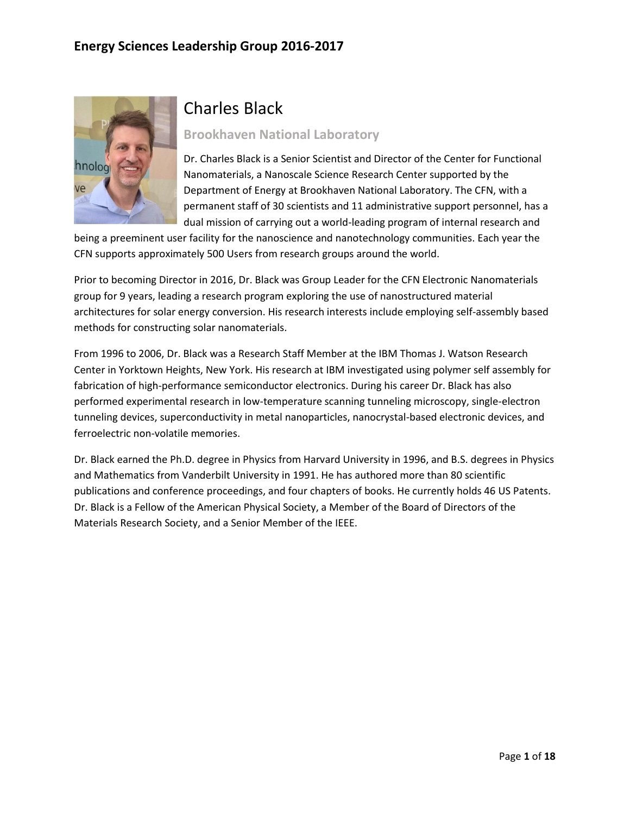

# Charles Black

**Brookhaven National Laboratory** 

Dr. Charles Black is a Senior Scientist and Director of the Center for Functional Nanomaterials, a Nanoscale Science Research Center supported by the Department of Energy at Brookhaven National Laboratory. The CFN, with a permanent staff of 30 scientists and 11 administrative support personnel, has a dual mission of carrying out a world-leading program of internal research and

being a preeminent user facility for the nanoscience and nanotechnology communities. Each year the CFN supports approximately 500 Users from research groups around the world.

Prior to becoming Director in 2016, Dr. Black was Group Leader for the CFN Electronic Nanomaterials group for 9 years, leading a research program exploring the use of nanostructured material architectures for solar energy conversion. His research interests include employing self-assembly based methods for constructing solar nanomaterials.

From 1996 to 2006, Dr. Black was a Research Staff Member at the IBM Thomas J. Watson Research Center in Yorktown Heights, New York. His research at IBM investigated using polymer self assembly for fabrication of high-performance semiconductor electronics. During his career Dr. Black has also performed experimental research in low-temperature scanning tunneling microscopy, single-electron tunneling devices, superconductivity in metal nanoparticles, nanocrystal-based electronic devices, and ferroelectric non-volatile memories.

Dr. Black earned the Ph.D. degree in Physics from Harvard University in 1996, and B.S. degrees in Physics and Mathematics from Vanderbilt University in 1991. He has authored more than 80 scientific publications and conference proceedings, and four chapters of books. He currently holds 46 US Patents. Dr. Black is a Fellow of the American Physical Society, a Member of the Board of Directors of the Materials Research Society, and a Senior Member of the IEEE.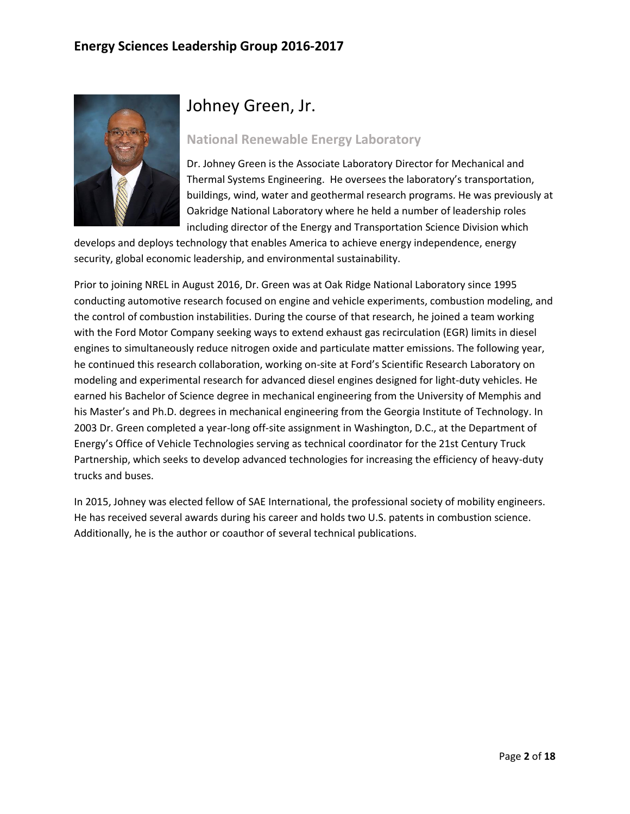

# Johney Green, Jr.

#### **National Renewable Energy Laboratory**

Dr. Johney Green is the Associate Laboratory Director for Mechanical and Thermal Systems Engineering. He oversees the laboratory's transportation, buildings, wind, water and geothermal research programs. He was previously at Oakridge National Laboratory where he held a number of leadership roles including director of the Energy and Transportation Science Division which

develops and deploys technology that enables America to achieve energy independence, energy security, global economic leadership, and environmental sustainability.

Prior to joining NREL in August 2016, Dr. Green was at Oak Ridge National Laboratory since 1995 conducting automotive research focused on engine and vehicle experiments, combustion modeling, and the control of combustion instabilities. During the course of that research, he joined a team working with the Ford Motor Company seeking ways to extend exhaust gas recirculation (EGR) limits in diesel engines to simultaneously reduce nitrogen oxide and particulate matter emissions. The following year, he continued this research collaboration, working on-site at Ford's Scientific Research Laboratory on modeling and experimental research for advanced diesel engines designed for light-duty vehicles. He earned his Bachelor of Science degree in mechanical engineering from the University of Memphis and his Master's and Ph.D. degrees in mechanical engineering from the Georgia Institute of Technology. In 2003 Dr. Green completed a year-long off-site assignment in Washington, D.C., at the Department of Energy's Office of Vehicle Technologies serving as technical coordinator for the 21st Century Truck Partnership, which seeks to develop advanced technologies for increasing the efficiency of heavy-duty trucks and buses.

In 2015, Johney was elected fellow of SAE International, the professional society of mobility engineers. He has received several awards during his career and holds two U.S. patents in combustion science. Additionally, he is the author or coauthor of several technical publications.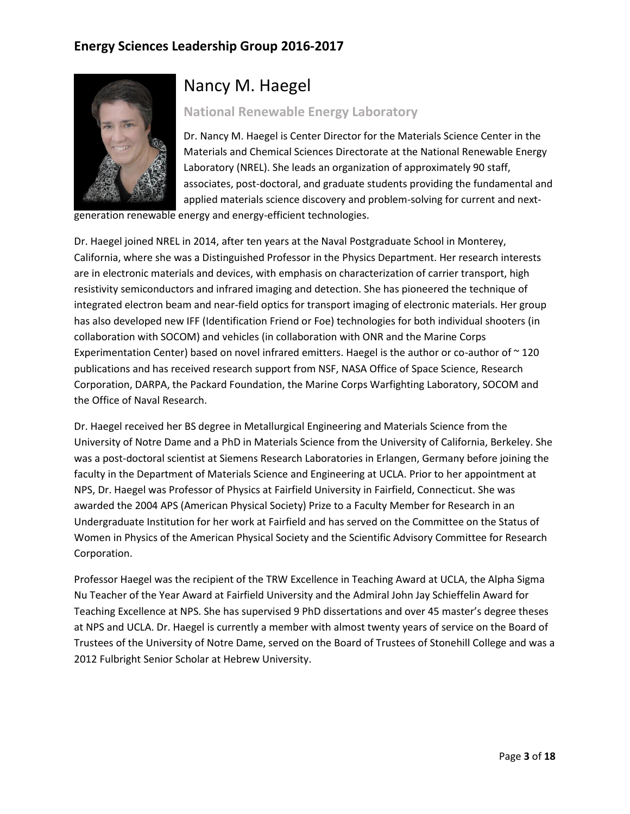

### Nancy M. Haegel

#### **National Renewable Energy Laboratory**

Dr. Nancy M. Haegel is Center Director for the Materials Science Center in the Materials and Chemical Sciences Directorate at the National Renewable Energy Laboratory (NREL). She leads an organization of approximately 90 staff, associates, post-doctoral, and graduate students providing the fundamental and applied materials science discovery and problem-solving for current and next-

generation renewable energy and energy-efficient technologies.

Dr. Haegel joined NREL in 2014, after ten years at the Naval Postgraduate School in Monterey, California, where she was a Distinguished Professor in the Physics Department. Her research interests are in electronic materials and devices, with emphasis on characterization of carrier transport, high resistivity semiconductors and infrared imaging and detection. She has pioneered the technique of integrated electron beam and near-field optics for transport imaging of electronic materials. Her group has also developed new IFF (Identification Friend or Foe) technologies for both individual shooters (in collaboration with SOCOM) and vehicles (in collaboration with ONR and the Marine Corps Experimentation Center) based on novel infrared emitters. Haegel is the author or co-author of  $\sim$  120 publications and has received research support from NSF, NASA Office of Space Science, Research Corporation, DARPA, the Packard Foundation, the Marine Corps Warfighting Laboratory, SOCOM and the Office of Naval Research.

Dr. Haegel received her BS degree in Metallurgical Engineering and Materials Science from the University of Notre Dame and a PhD in Materials Science from the University of California, Berkeley. She was a post-doctoral scientist at Siemens Research Laboratories in Erlangen, Germany before joining the faculty in the Department of Materials Science and Engineering at UCLA. Prior to her appointment at NPS, Dr. Haegel was Professor of Physics at Fairfield University in Fairfield, Connecticut. She was awarded the 2004 APS (American Physical Society) Prize to a Faculty Member for Research in an Undergraduate Institution for her work at Fairfield and has served on the Committee on the Status of Women in Physics of the American Physical Society and the Scientific Advisory Committee for Research Corporation.

Professor Haegel was the recipient of the TRW Excellence in Teaching Award at UCLA, the Alpha Sigma Nu Teacher of the Year Award at Fairfield University and the Admiral John Jay Schieffelin Award for Teaching Excellence at NPS. She has supervised 9 PhD dissertations and over 45 master's degree theses at NPS and UCLA. Dr. Haegel is currently a member with almost twenty years of service on the Board of Trustees of the University of Notre Dame, served on the Board of Trustees of Stonehill College and was a 2012 Fulbright Senior Scholar at Hebrew University.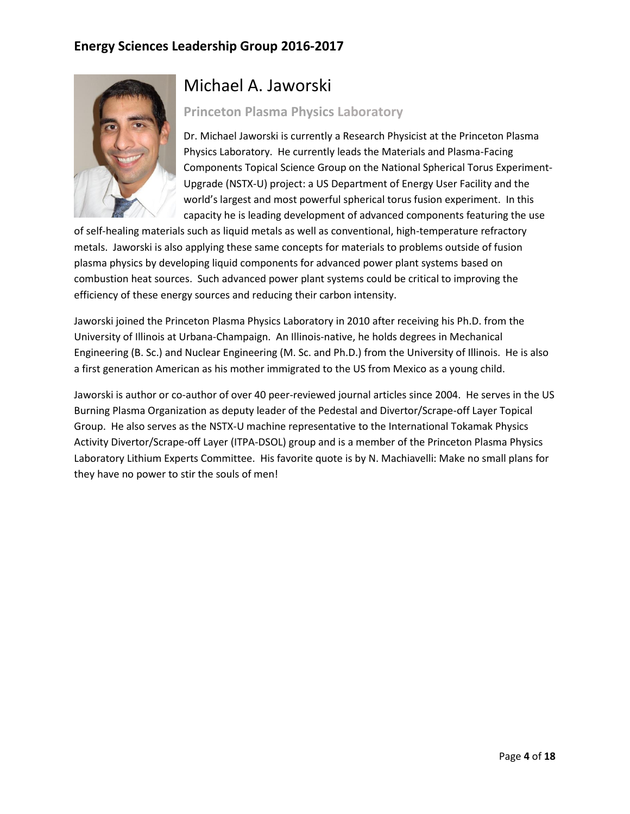

# Michael A. Jaworski

#### **Princeton Plasma Physics Laboratory**

Dr. Michael Jaworski is currently a Research Physicist at the Princeton Plasma Physics Laboratory. He currently leads the Materials and Plasma-Facing Components Topical Science Group on the National Spherical Torus Experiment-Upgrade (NSTX-U) project: a US Department of Energy User Facility and the world's largest and most powerful spherical torus fusion experiment. In this capacity he is leading development of advanced components featuring the use

of self-healing materials such as liquid metals as well as conventional, high-temperature refractory metals. Jaworski is also applying these same concepts for materials to problems outside of fusion plasma physics by developing liquid components for advanced power plant systems based on combustion heat sources. Such advanced power plant systems could be critical to improving the efficiency of these energy sources and reducing their carbon intensity.

Jaworski joined the Princeton Plasma Physics Laboratory in 2010 after receiving his Ph.D. from the University of Illinois at Urbana-Champaign. An Illinois-native, he holds degrees in Mechanical Engineering (B. Sc.) and Nuclear Engineering (M. Sc. and Ph.D.) from the University of Illinois. He is also a first generation American as his mother immigrated to the US from Mexico as a young child.

Jaworski is author or co-author of over 40 peer-reviewed journal articles since 2004. He serves in the US Burning Plasma Organization as deputy leader of the Pedestal and Divertor/Scrape-off Layer Topical Group. He also serves as the NSTX-U machine representative to the International Tokamak Physics Activity Divertor/Scrape-off Layer (ITPA-DSOL) group and is a member of the Princeton Plasma Physics Laboratory Lithium Experts Committee. His favorite quote is by N. Machiavelli: Make no small plans for they have no power to stir the souls of men!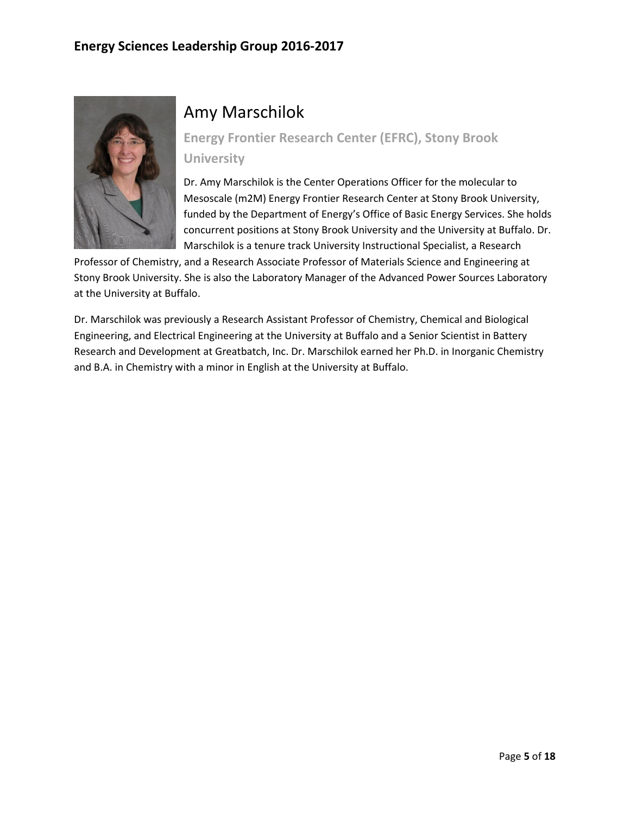

# Amy Marschilok

**Energy Frontier Research Center (EFRC), Stony Brook University**

Dr. Amy Marschilok is the Center Operations Officer for the molecular to Mesoscale (m2M) Energy Frontier Research Center at Stony Brook University, funded by the Department of Energy's Office of Basic Energy Services. She holds concurrent positions at Stony Brook University and the University at Buffalo. Dr. Marschilok is a tenure track University Instructional Specialist, a Research

Professor of Chemistry, and a Research Associate Professor of Materials Science and Engineering at Stony Brook University. She is also the Laboratory Manager of the Advanced Power Sources Laboratory at the University at Buffalo.

Dr. Marschilok was previously a Research Assistant Professor of Chemistry, Chemical and Biological Engineering, and Electrical Engineering at the University at Buffalo and a Senior Scientist in Battery Research and Development at Greatbatch, Inc. Dr. Marschilok earned her Ph.D. in Inorganic Chemistry and B.A. in Chemistry with a minor in English at the University at Buffalo.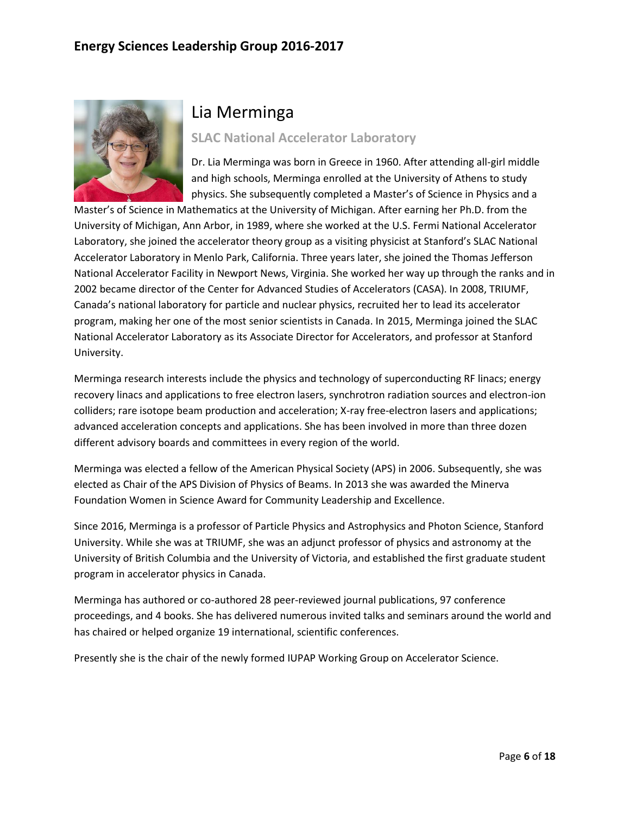

# Lia Merminga

**SLAC National Accelerator Laboratory**

Dr. Lia Merminga was born in Greece in 1960. After attending all-girl middle and high schools, Merminga enrolled at the University of Athens to study physics. She subsequently completed a Master's of Science in Physics and a

Master's of Science in Mathematics at the University of Michigan. After earning her Ph.D. from the University of Michigan, Ann Arbor, in 1989, where she worked at the U.S. Fermi National Accelerator Laboratory, she joined the accelerator theory group as a visiting physicist at Stanford's SLAC National Accelerator Laboratory in Menlo Park, California. Three years later, she joined the Thomas Jefferson National Accelerator Facility in Newport News, Virginia. She worked her way up through the ranks and in 2002 became director of the Center for Advanced Studies of Accelerators (CASA). In 2008, TRIUMF, Canada's national laboratory for particle and nuclear physics, recruited her to lead its accelerator program, making her one of the most senior scientists in Canada. In 2015, Merminga joined the SLAC National Accelerator Laboratory as its Associate Director for Accelerators, and professor at Stanford University.

Merminga research interests include the physics and technology of superconducting RF linacs; energy recovery linacs and applications to free electron lasers, synchrotron radiation sources and electron-ion colliders; rare isotope beam production and acceleration; X-ray free-electron lasers and applications; advanced acceleration concepts and applications. She has been involved in more than three dozen different advisory boards and committees in every region of the world.

Merminga was elected a fellow of the American Physical Society (APS) in 2006. Subsequently, she was elected as Chair of the APS Division of Physics of Beams. In 2013 she was awarded the Minerva Foundation Women in Science Award for Community Leadership and Excellence.

Since 2016, Merminga is a professor of Particle Physics and Astrophysics and Photon Science, Stanford University. While she was at TRIUMF, she was an adjunct professor of physics and astronomy at the University of British Columbia and the University of Victoria, and established the first graduate student program in accelerator physics in Canada.

Merminga has authored or co-authored 28 peer-reviewed journal publications, 97 conference proceedings, and 4 books. She has delivered numerous invited talks and seminars around the world and has chaired or helped organize 19 international, scientific conferences.

Presently she is the chair of the newly formed IUPAP Working Group on Accelerator Science.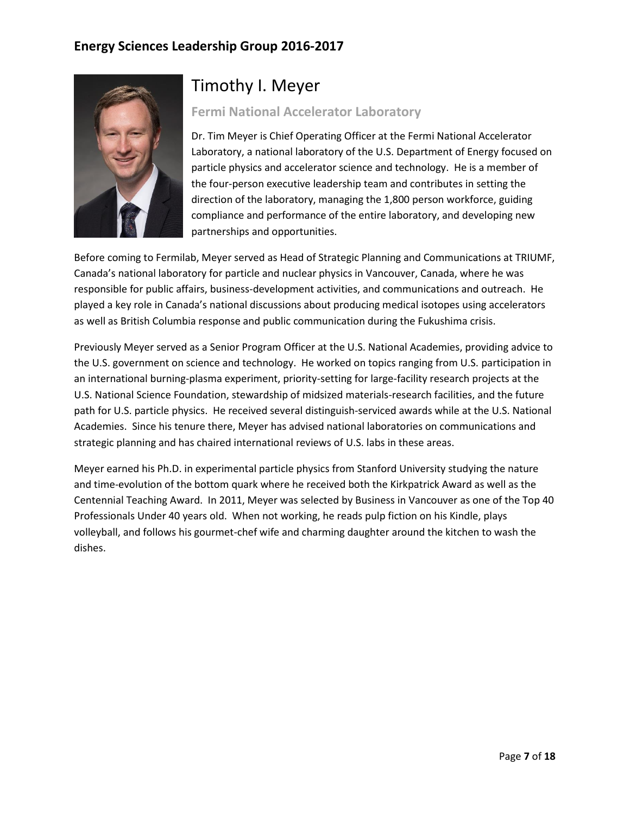

### Timothy I. Meyer

#### **Fermi National Accelerator Laboratory**

Dr. Tim Meyer is Chief Operating Officer at the Fermi National Accelerator Laboratory, a national laboratory of the U.S. Department of Energy focused on particle physics and accelerator science and technology. He is a member of the four-person executive leadership team and contributes in setting the direction of the laboratory, managing the 1,800 person workforce, guiding compliance and performance of the entire laboratory, and developing new partnerships and opportunities.

Before coming to Fermilab, Meyer served as Head of Strategic Planning and Communications at TRIUMF, Canada's national laboratory for particle and nuclear physics in Vancouver, Canada, where he was responsible for public affairs, business-development activities, and communications and outreach. He played a key role in Canada's national discussions about producing medical isotopes using accelerators as well as British Columbia response and public communication during the Fukushima crisis.

Previously Meyer served as a Senior Program Officer at the U.S. National Academies, providing advice to the U.S. government on science and technology. He worked on topics ranging from U.S. participation in an international burning-plasma experiment, priority-setting for large-facility research projects at the U.S. National Science Foundation, stewardship of midsized materials-research facilities, and the future path for U.S. particle physics. He received several distinguish-serviced awards while at the U.S. National Academies. Since his tenure there, Meyer has advised national laboratories on communications and strategic planning and has chaired international reviews of U.S. labs in these areas.

Meyer earned his Ph.D. in experimental particle physics from Stanford University studying the nature and time-evolution of the bottom quark where he received both the Kirkpatrick Award as well as the Centennial Teaching Award. In 2011, Meyer was selected by Business in Vancouver as one of the Top 40 Professionals Under 40 years old. When not working, he reads pulp fiction on his Kindle, plays volleyball, and follows his gourmet-chef wife and charming daughter around the kitchen to wash the dishes.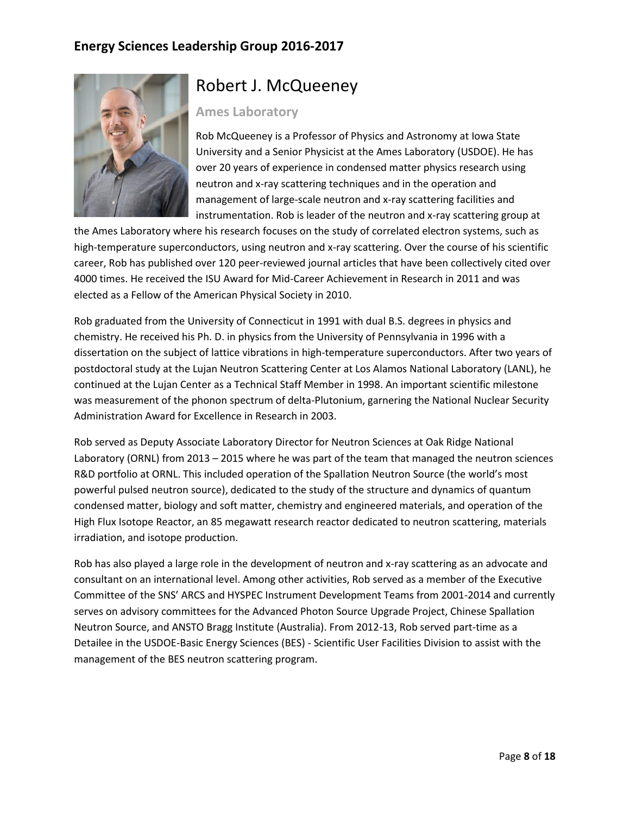

### Robert J. McQueeney

#### **Ames Laboratory**

Rob McQueeney is a Professor of Physics and Astronomy at Iowa State University and a Senior Physicist at the Ames Laboratory (USDOE). He has over 20 years of experience in condensed matter physics research using neutron and x-ray scattering techniques and in the operation and management of large-scale neutron and x-ray scattering facilities and instrumentation. Rob is leader of the neutron and x-ray scattering group at

the Ames Laboratory where his research focuses on the study of correlated electron systems, such as high-temperature superconductors, using neutron and x-ray scattering. Over the course of his scientific career, Rob has published over 120 peer-reviewed journal articles that have been collectively cited over 4000 times. He received the ISU Award for Mid-Career Achievement in Research in 2011 and was elected as a Fellow of the American Physical Society in 2010.

Rob graduated from the University of Connecticut in 1991 with dual B.S. degrees in physics and chemistry. He received his Ph. D. in physics from the University of Pennsylvania in 1996 with a dissertation on the subject of lattice vibrations in high-temperature superconductors. After two years of postdoctoral study at the Lujan Neutron Scattering Center at Los Alamos National Laboratory (LANL), he continued at the Lujan Center as a Technical Staff Member in 1998. An important scientific milestone was measurement of the phonon spectrum of delta-Plutonium, garnering the National Nuclear Security Administration Award for Excellence in Research in 2003.

Rob served as Deputy Associate Laboratory Director for Neutron Sciences at Oak Ridge National Laboratory (ORNL) from 2013 – 2015 where he was part of the team that managed the neutron sciences R&D portfolio at ORNL. This included operation of the Spallation Neutron Source (the world's most powerful pulsed neutron source), dedicated to the study of the structure and dynamics of quantum condensed matter, biology and soft matter, chemistry and engineered materials, and operation of the High Flux Isotope Reactor, an 85 megawatt research reactor dedicated to neutron scattering, materials irradiation, and isotope production.

Rob has also played a large role in the development of neutron and x-ray scattering as an advocate and consultant on an international level. Among other activities, Rob served as a member of the Executive Committee of the SNS' ARCS and HYSPEC Instrument Development Teams from 2001-2014 and currently serves on advisory committees for the Advanced Photon Source Upgrade Project, Chinese Spallation Neutron Source, and ANSTO Bragg Institute (Australia). From 2012-13, Rob served part-time as a Detailee in the USDOE-Basic Energy Sciences (BES) - Scientific User Facilities Division to assist with the management of the BES neutron scattering program.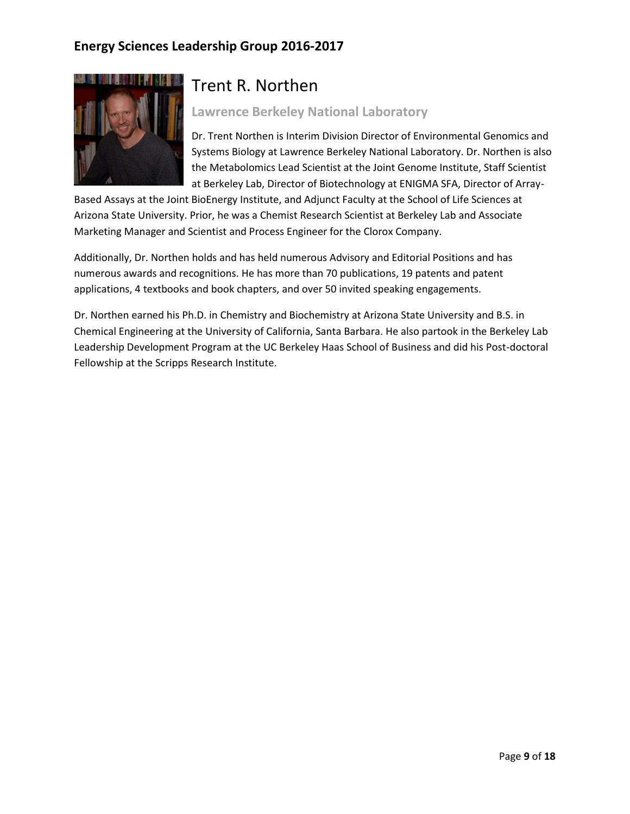

## Trent R. Northen

#### **Lawrence Berkeley National Laboratory**

Dr. Trent Northen is Interim Division Director of Environmental Genomics and Systems Biology at Lawrence Berkeley National Laboratory. Dr. Northen is also the Metabolomics Lead Scientist at the Joint Genome Institute, Staff Scientist at Berkeley Lab, Director of Biotechnology at ENIGMA SFA, Director of Array-

Based Assays at the Joint BioEnergy Institute, and Adjunct Faculty at the School of Life Sciences at Arizona State University. Prior, he was a Chemist Research Scientist at Berkeley Lab and Associate Marketing Manager and Scientist and Process Engineer for the Clorox Company.

Additionally, Dr. Northen holds and has held numerous Advisory and Editorial Positions and has numerous awards and recognitions. He has more than 70 publications, 19 patents and patent applications, 4 textbooks and book chapters, and over 50 invited speaking engagements.

Dr. Northen earned his Ph.D. in Chemistry and Biochemistry at Arizona State University and B.S. in Chemical Engineering at the University of California, Santa Barbara. He also partook in the Berkeley Lab Leadership Development Program at the UC Berkeley Haas School of Business and did his Post-doctoral Fellowship at the Scripps Research Institute.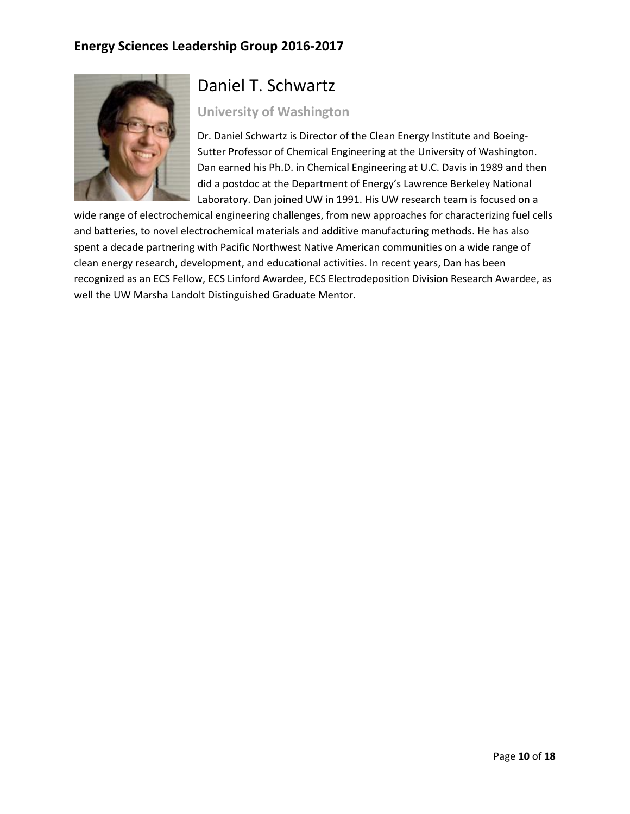

# Daniel T. Schwartz

#### **University of Washington**

Dr. Daniel Schwartz is Director of the Clean Energy Institute and Boeing-Sutter Professor of Chemical Engineering at the University of Washington. Dan earned his Ph.D. in Chemical Engineering at U.C. Davis in 1989 and then did a postdoc at the Department of Energy's Lawrence Berkeley National Laboratory. Dan joined UW in 1991. His UW research team is focused on a

wide range of electrochemical engineering challenges, from new approaches for characterizing fuel cells and batteries, to novel electrochemical materials and additive manufacturing methods. He has also spent a decade partnering with Pacific Northwest Native American communities on a wide range of clean energy research, development, and educational activities. In recent years, Dan has been recognized as an ECS Fellow, ECS Linford Awardee, ECS Electrodeposition Division Research Awardee, as well the UW Marsha Landolt Distinguished Graduate Mentor.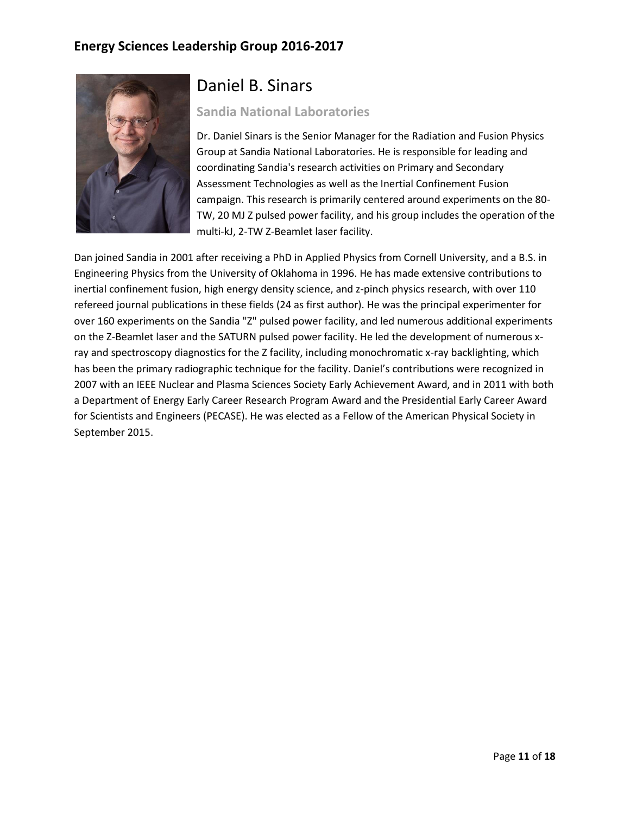

### Daniel B. Sinars

#### **Sandia National Laboratories**

Dr. Daniel Sinars is the Senior Manager for the Radiation and Fusion Physics Group at Sandia National Laboratories. He is responsible for leading and coordinating Sandia's research activities on Primary and Secondary Assessment Technologies as well as the Inertial Confinement Fusion campaign. This research is primarily centered around experiments on the 80- TW, 20 MJ Z pulsed power facility, and his group includes the operation of the multi-kJ, 2-TW Z-Beamlet laser facility.

Dan joined Sandia in 2001 after receiving a PhD in Applied Physics from Cornell University, and a B.S. in Engineering Physics from the University of Oklahoma in 1996. He has made extensive contributions to inertial confinement fusion, high energy density science, and z-pinch physics research, with over 110 refereed journal publications in these fields (24 as first author). He was the principal experimenter for over 160 experiments on the Sandia "Z" pulsed power facility, and led numerous additional experiments on the Z-Beamlet laser and the SATURN pulsed power facility. He led the development of numerous xray and spectroscopy diagnostics for the Z facility, including monochromatic x-ray backlighting, which has been the primary radiographic technique for the facility. Daniel's contributions were recognized in 2007 with an IEEE Nuclear and Plasma Sciences Society Early Achievement Award, and in 2011 with both a Department of Energy Early Career Research Program Award and the Presidential Early Career Award for Scientists and Engineers (PECASE). He was elected as a Fellow of the American Physical Society in September 2015.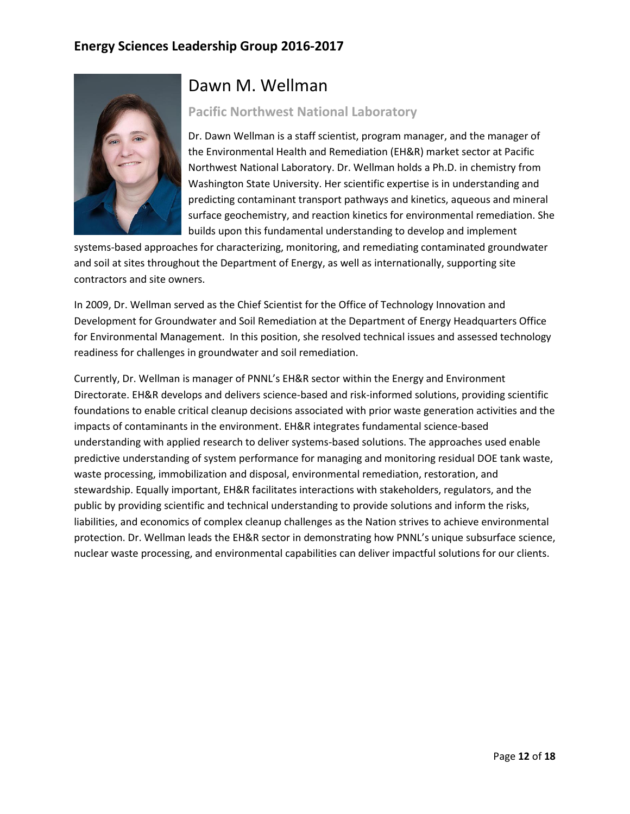

### Dawn M. Wellman

#### **Pacific Northwest National Laboratory**

Dr. Dawn Wellman is a staff scientist, program manager, and the manager of the Environmental Health and Remediation (EH&R) market sector at Pacific Northwest National Laboratory. Dr. Wellman holds a Ph.D. in chemistry from Washington State University. Her scientific expertise is in understanding and predicting contaminant transport pathways and kinetics, aqueous and mineral surface geochemistry, and reaction kinetics for environmental remediation. She builds upon this fundamental understanding to develop and implement

systems-based approaches for characterizing, monitoring, and remediating contaminated groundwater and soil at sites throughout the Department of Energy, as well as internationally, supporting site contractors and site owners.

In 2009, Dr. Wellman served as the Chief Scientist for the Office of Technology Innovation and Development for Groundwater and Soil Remediation at the Department of Energy Headquarters Office for Environmental Management. In this position, she resolved technical issues and assessed technology readiness for challenges in groundwater and soil remediation.

Currently, Dr. Wellman is manager of PNNL's EH&R sector within the Energy and Environment Directorate. EH&R develops and delivers science-based and risk-informed solutions, providing scientific foundations to enable critical cleanup decisions associated with prior waste generation activities and the impacts of contaminants in the environment. EH&R integrates fundamental science-based understanding with applied research to deliver systems-based solutions. The approaches used enable predictive understanding of system performance for managing and monitoring residual DOE tank waste, waste processing, immobilization and disposal, environmental remediation, restoration, and stewardship. Equally important, EH&R facilitates interactions with stakeholders, regulators, and the public by providing scientific and technical understanding to provide solutions and inform the risks, liabilities, and economics of complex cleanup challenges as the Nation strives to achieve environmental protection. Dr. Wellman leads the EH&R sector in demonstrating how PNNL's unique subsurface science, nuclear waste processing, and environmental capabilities can deliver impactful solutions for our clients.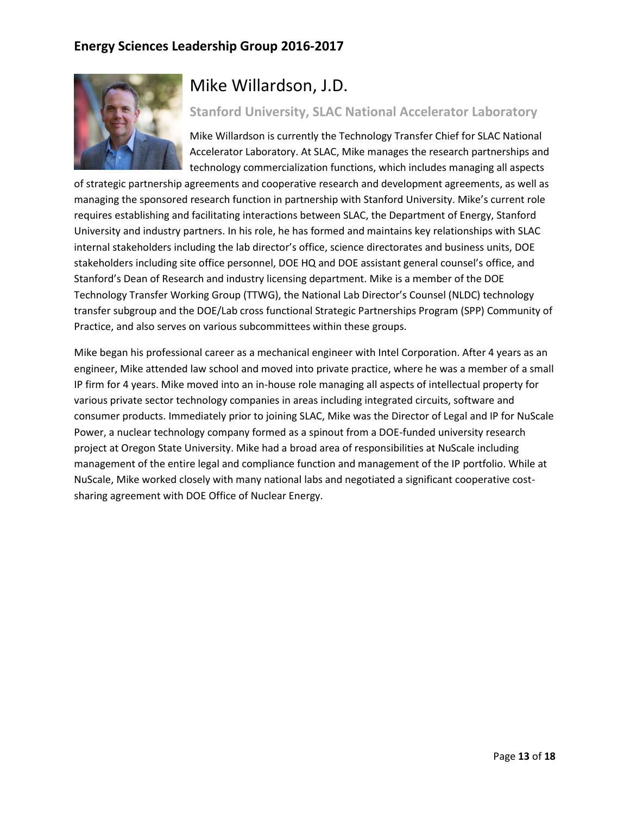

# Mike Willardson, J.D.

#### **Stanford University, SLAC National Accelerator Laboratory**

Mike Willardson is currently the Technology Transfer Chief for SLAC National Accelerator Laboratory. At SLAC, Mike manages the research partnerships and technology commercialization functions, which includes managing all aspects

of strategic partnership agreements and cooperative research and development agreements, as well as managing the sponsored research function in partnership with Stanford University. Mike's current role requires establishing and facilitating interactions between SLAC, the Department of Energy, Stanford University and industry partners. In his role, he has formed and maintains key relationships with SLAC internal stakeholders including the lab director's office, science directorates and business units, DOE stakeholders including site office personnel, DOE HQ and DOE assistant general counsel's office, and Stanford's Dean of Research and industry licensing department. Mike is a member of the DOE Technology Transfer Working Group (TTWG), the National Lab Director's Counsel (NLDC) technology transfer subgroup and the DOE/Lab cross functional Strategic Partnerships Program (SPP) Community of Practice, and also serves on various subcommittees within these groups.

Mike began his professional career as a mechanical engineer with Intel Corporation. After 4 years as an engineer, Mike attended law school and moved into private practice, where he was a member of a small IP firm for 4 years. Mike moved into an in-house role managing all aspects of intellectual property for various private sector technology companies in areas including integrated circuits, software and consumer products. Immediately prior to joining SLAC, Mike was the Director of Legal and IP for NuScale Power, a nuclear technology company formed as a spinout from a DOE-funded university research project at Oregon State University. Mike had a broad area of responsibilities at NuScale including management of the entire legal and compliance function and management of the IP portfolio. While at NuScale, Mike worked closely with many national labs and negotiated a significant cooperative costsharing agreement with DOE Office of Nuclear Energy.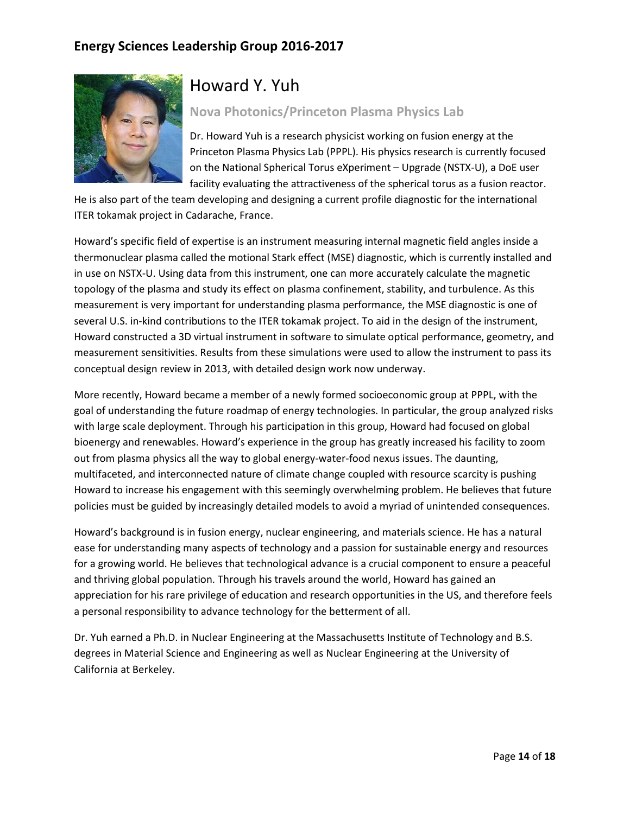

# Howard Y. Yuh

#### **Nova Photonics/Princeton Plasma Physics Lab**

Dr. Howard Yuh is a research physicist working on fusion energy at the Princeton Plasma Physics Lab (PPPL). His physics research is currently focused on the National Spherical Torus eXperiment – Upgrade (NSTX-U), a DoE user facility evaluating the attractiveness of the spherical torus as a fusion reactor.

He is also part of the team developing and designing a current profile diagnostic for the international ITER tokamak project in Cadarache, France.

Howard's specific field of expertise is an instrument measuring internal magnetic field angles inside a thermonuclear plasma called the motional Stark effect (MSE) diagnostic, which is currently installed and in use on NSTX-U. Using data from this instrument, one can more accurately calculate the magnetic topology of the plasma and study its effect on plasma confinement, stability, and turbulence. As this measurement is very important for understanding plasma performance, the MSE diagnostic is one of several U.S. in-kind contributions to the ITER tokamak project. To aid in the design of the instrument, Howard constructed a 3D virtual instrument in software to simulate optical performance, geometry, and measurement sensitivities. Results from these simulations were used to allow the instrument to pass its conceptual design review in 2013, with detailed design work now underway.

More recently, Howard became a member of a newly formed socioeconomic group at PPPL, with the goal of understanding the future roadmap of energy technologies. In particular, the group analyzed risks with large scale deployment. Through his participation in this group, Howard had focused on global bioenergy and renewables. Howard's experience in the group has greatly increased his facility to zoom out from plasma physics all the way to global energy-water-food nexus issues. The daunting, multifaceted, and interconnected nature of climate change coupled with resource scarcity is pushing Howard to increase his engagement with this seemingly overwhelming problem. He believes that future policies must be guided by increasingly detailed models to avoid a myriad of unintended consequences.

Howard's background is in fusion energy, nuclear engineering, and materials science. He has a natural ease for understanding many aspects of technology and a passion for sustainable energy and resources for a growing world. He believes that technological advance is a crucial component to ensure a peaceful and thriving global population. Through his travels around the world, Howard has gained an appreciation for his rare privilege of education and research opportunities in the US, and therefore feels a personal responsibility to advance technology for the betterment of all.

Dr. Yuh earned a Ph.D. in Nuclear Engineering at the Massachusetts Institute of Technology and B.S. degrees in Material Science and Engineering as well as Nuclear Engineering at the University of California at Berkeley.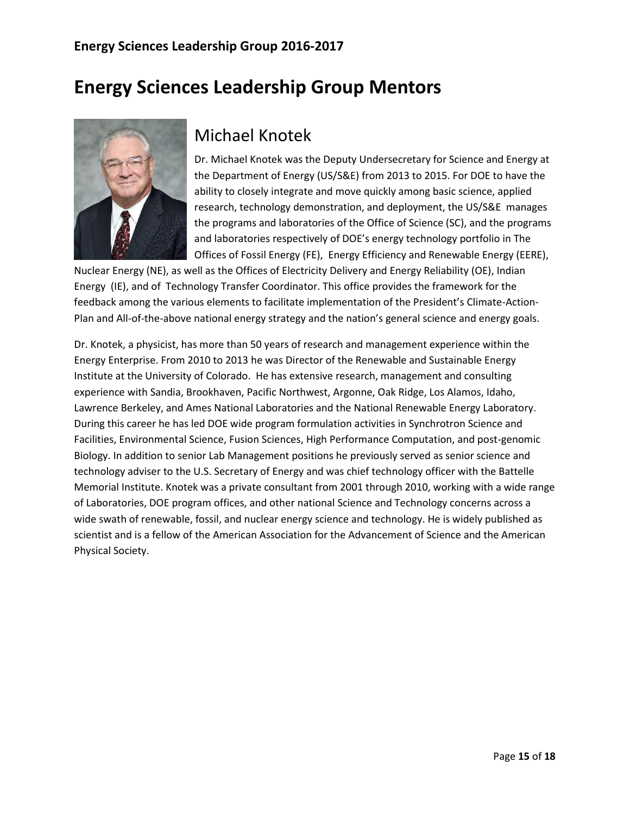# **Energy Sciences Leadership Group Mentors**



# Michael Knotek

Dr. Michael Knotek was the Deputy Undersecretary for Science and Energy at the Department of Energy (US/S&E) from 2013 to 2015. For DOE to have the ability to closely integrate and move quickly among basic science, applied research, technology demonstration, and deployment, the US/S&E manages the programs and laboratories of the Office of Science (SC), and the programs and laboratories respectively of DOE's energy technology portfolio in The Offices of Fossil Energy (FE), Energy Efficiency and Renewable Energy (EERE),

Nuclear Energy (NE), as well as the Offices of Electricity Delivery and Energy Reliability (OE), Indian Energy (IE), and of Technology Transfer Coordinator. This office provides the framework for the feedback among the various elements to facilitate implementation of the President's Climate-Action-Plan and All-of-the-above national energy strategy and the nation's general science and energy goals.

Dr. Knotek, a physicist, has more than 50 years of research and management experience within the Energy Enterprise. From 2010 to 2013 he was Director of the Renewable and Sustainable Energy Institute at the University of Colorado. He has extensive research, management and consulting experience with Sandia, Brookhaven, Pacific Northwest, Argonne, Oak Ridge, Los Alamos, Idaho, Lawrence Berkeley, and Ames National Laboratories and the National Renewable Energy Laboratory. During this career he has led DOE wide program formulation activities in Synchrotron Science and Facilities, Environmental Science, Fusion Sciences, High Performance Computation, and post-genomic Biology. In addition to senior Lab Management positions he previously served as senior science and technology adviser to the U.S. Secretary of Energy and was chief technology officer with the Battelle Memorial Institute. Knotek was a private consultant from 2001 through 2010, working with a wide range of Laboratories, DOE program offices, and other national Science and Technology concerns across a wide swath of renewable, fossil, and nuclear energy science and technology. He is widely published as scientist and is a fellow of the American Association for the Advancement of Science and the American Physical Society.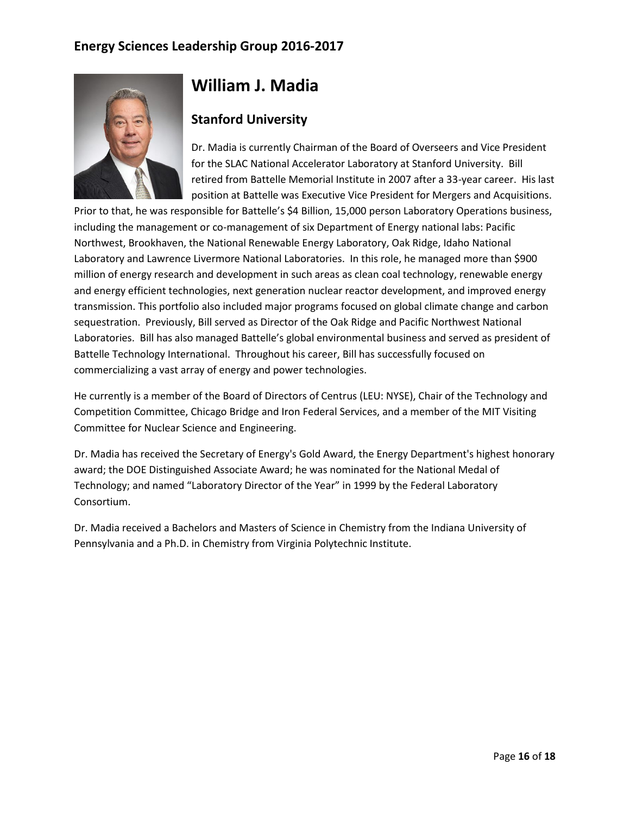

### **William J. Madia**

### **Stanford University**

Dr. Madia is currently Chairman of the Board of Overseers and Vice President for the SLAC National Accelerator Laboratory at Stanford University. Bill retired from Battelle Memorial Institute in 2007 after a 33-year career. His last position at Battelle was Executive Vice President for Mergers and Acquisitions.

Prior to that, he was responsible for Battelle's \$4 Billion, 15,000 person Laboratory Operations business, including the management or co-management of six Department of Energy national labs: Pacific Northwest, Brookhaven, the National Renewable Energy Laboratory, Oak Ridge, Idaho National Laboratory and Lawrence Livermore National Laboratories. In this role, he managed more than \$900 million of energy research and development in such areas as clean coal technology, renewable energy and energy efficient technologies, next generation nuclear reactor development, and improved energy transmission. This portfolio also included major programs focused on global climate change and carbon sequestration. Previously, Bill served as Director of the Oak Ridge and Pacific Northwest National Laboratories. Bill has also managed Battelle's global environmental business and served as president of Battelle Technology International. Throughout his career, Bill has successfully focused on commercializing a vast array of energy and power technologies.

He currently is a member of the Board of Directors of Centrus (LEU: NYSE), Chair of the Technology and Competition Committee, Chicago Bridge and Iron Federal Services, and a member of the MIT Visiting Committee for Nuclear Science and Engineering.

Dr. Madia has received the Secretary of Energy's Gold Award, the Energy Department's highest honorary award; the DOE Distinguished Associate Award; he was nominated for the National Medal of Technology; and named "Laboratory Director of the Year" in 1999 by the Federal Laboratory Consortium.

Dr. Madia received a Bachelors and Masters of Science in Chemistry from the Indiana University of Pennsylvania and a Ph.D. in Chemistry from Virginia Polytechnic Institute.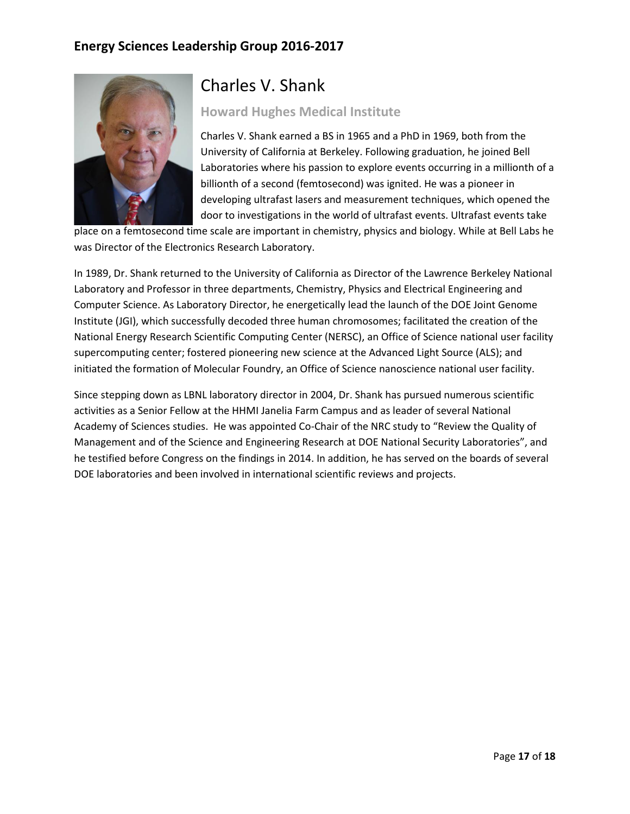

## Charles V. Shank

#### **Howard Hughes Medical Institute**

Charles V. Shank earned a BS in 1965 and a PhD in 1969, both from the University of California at Berkeley. Following graduation, he joined Bell Laboratories where his passion to explore events occurring in a millionth of a billionth of a second (femtosecond) was ignited. He was a pioneer in developing ultrafast lasers and measurement techniques, which opened the door to investigations in the world of ultrafast events. Ultrafast events take

place on a femtosecond time scale are important in chemistry, physics and biology. While at Bell Labs he was Director of the Electronics Research Laboratory.

In 1989, Dr. Shank returned to the University of California as Director of the Lawrence Berkeley National Laboratory and Professor in three departments, Chemistry, Physics and Electrical Engineering and Computer Science. As Laboratory Director, he energetically lead the launch of the DOE Joint Genome Institute (JGI), which successfully decoded three human chromosomes; facilitated the creation of the National Energy Research Scientific Computing Center (NERSC), an Office of Science national user facility supercomputing center; fostered pioneering new science at the Advanced Light Source (ALS); and initiated the formation of Molecular Foundry, an Office of Science nanoscience national user facility.

Since stepping down as LBNL laboratory director in 2004, Dr. Shank has pursued numerous scientific activities as a Senior Fellow at the HHMI Janelia Farm Campus and as leader of several National Academy of Sciences studies. He was appointed Co-Chair of the NRC study to "Review the Quality of Management and of the Science and Engineering Research at DOE National Security Laboratories", and he testified before Congress on the findings in 2014. In addition, he has served on the boards of several DOE laboratories and been involved in international scientific reviews and projects.